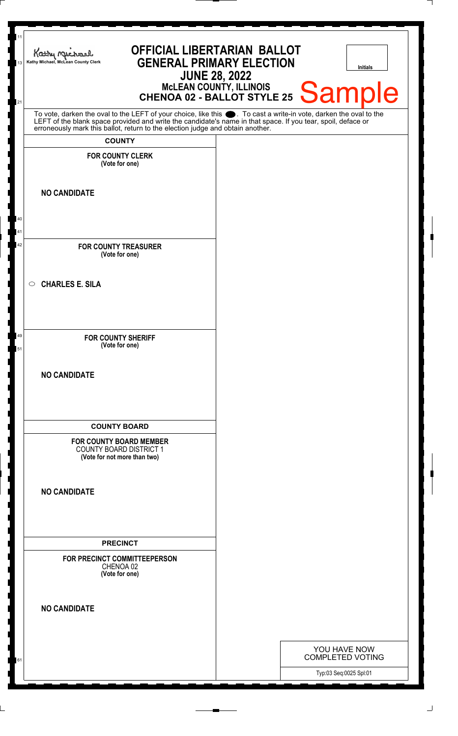| MCLEAN COUNTY, ILLINOIS<br>CHENOA 02 - BALLOT STYLE 25 Sample<br>21<br>To vote, darken the oval to the LEFT of your choice, like this . To cast a write-in vote, darken the oval to the LEFT of the blank space provided and write the candidate's name in that space. If you tear, spoil, deface or<br><b>COUNTY</b><br><b>FOR COUNTY CLERK</b><br>(Vote for one)<br><b>NO CANDIDATE</b><br>40<br>41<br>42<br><b>FOR COUNTY TREASURER</b><br>(Vote for one)<br><b>CHARLES E. SILA</b><br>$\circ$<br>49<br><b>FOR COUNTY SHERIFF</b><br>(Vote for one)<br>51<br><b>NO CANDIDATE</b><br><b>COUNTY BOARD</b><br><b>FOR COUNTY BOARD MEMBER</b><br><b>COUNTY BOARD DISTRICT 1</b><br>(Vote for not more than two)<br><b>NO CANDIDATE</b><br><b>PRECINCT</b><br>FOR PRECINCT COMMITTEEPERSON<br>CHENOA 02<br>(Vote for one)<br><b>NO CANDIDATE</b> | 11<br>13 | <b>OFFICIAL LIBERTARIAN BALLOT</b><br>Kathy Michael<br><b>GENERAL PRIMARY ELECTION</b><br>Kathy Michael, McLean County Clerk<br><b>JUNE 28, 2022</b> |  | Initials |
|------------------------------------------------------------------------------------------------------------------------------------------------------------------------------------------------------------------------------------------------------------------------------------------------------------------------------------------------------------------------------------------------------------------------------------------------------------------------------------------------------------------------------------------------------------------------------------------------------------------------------------------------------------------------------------------------------------------------------------------------------------------------------------------------------------------------------------------------|----------|------------------------------------------------------------------------------------------------------------------------------------------------------|--|----------|
|                                                                                                                                                                                                                                                                                                                                                                                                                                                                                                                                                                                                                                                                                                                                                                                                                                                |          |                                                                                                                                                      |  |          |
|                                                                                                                                                                                                                                                                                                                                                                                                                                                                                                                                                                                                                                                                                                                                                                                                                                                |          |                                                                                                                                                      |  |          |
|                                                                                                                                                                                                                                                                                                                                                                                                                                                                                                                                                                                                                                                                                                                                                                                                                                                |          |                                                                                                                                                      |  |          |
|                                                                                                                                                                                                                                                                                                                                                                                                                                                                                                                                                                                                                                                                                                                                                                                                                                                |          |                                                                                                                                                      |  |          |
|                                                                                                                                                                                                                                                                                                                                                                                                                                                                                                                                                                                                                                                                                                                                                                                                                                                |          |                                                                                                                                                      |  |          |
|                                                                                                                                                                                                                                                                                                                                                                                                                                                                                                                                                                                                                                                                                                                                                                                                                                                |          |                                                                                                                                                      |  |          |
|                                                                                                                                                                                                                                                                                                                                                                                                                                                                                                                                                                                                                                                                                                                                                                                                                                                |          |                                                                                                                                                      |  |          |
|                                                                                                                                                                                                                                                                                                                                                                                                                                                                                                                                                                                                                                                                                                                                                                                                                                                |          |                                                                                                                                                      |  |          |
|                                                                                                                                                                                                                                                                                                                                                                                                                                                                                                                                                                                                                                                                                                                                                                                                                                                |          |                                                                                                                                                      |  |          |
|                                                                                                                                                                                                                                                                                                                                                                                                                                                                                                                                                                                                                                                                                                                                                                                                                                                |          |                                                                                                                                                      |  |          |
|                                                                                                                                                                                                                                                                                                                                                                                                                                                                                                                                                                                                                                                                                                                                                                                                                                                |          |                                                                                                                                                      |  |          |
|                                                                                                                                                                                                                                                                                                                                                                                                                                                                                                                                                                                                                                                                                                                                                                                                                                                |          |                                                                                                                                                      |  |          |
|                                                                                                                                                                                                                                                                                                                                                                                                                                                                                                                                                                                                                                                                                                                                                                                                                                                |          |                                                                                                                                                      |  |          |
|                                                                                                                                                                                                                                                                                                                                                                                                                                                                                                                                                                                                                                                                                                                                                                                                                                                |          |                                                                                                                                                      |  |          |
|                                                                                                                                                                                                                                                                                                                                                                                                                                                                                                                                                                                                                                                                                                                                                                                                                                                |          |                                                                                                                                                      |  |          |
|                                                                                                                                                                                                                                                                                                                                                                                                                                                                                                                                                                                                                                                                                                                                                                                                                                                |          |                                                                                                                                                      |  |          |
| YOU HAVE NOW<br>COMPLETED VOTING<br>Typ:03 Seq:0025 Spl:01                                                                                                                                                                                                                                                                                                                                                                                                                                                                                                                                                                                                                                                                                                                                                                                     |          |                                                                                                                                                      |  |          |